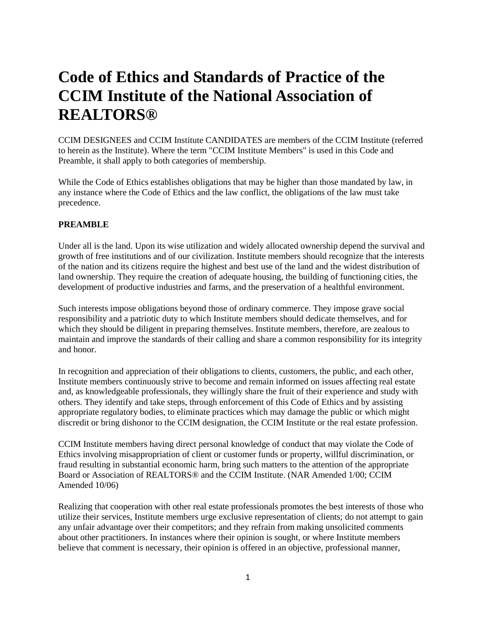# **Code of Ethics and Standards of Practice of the CCIM Institute of the National Association of REALTORS®**

CCIM DESIGNEES and CCIM Institute CANDIDATES are members of the CCIM Institute (referred to herein as the Institute). Where the term "CCIM Institute Members" is used in this Code and Preamble, it shall apply to both categories of membership.

While the Code of Ethics establishes obligations that may be higher than those mandated by law, in any instance where the Code of Ethics and the law conflict, the obligations of the law must take precedence.

## **PREAMBLE**

Under all is the land. Upon its wise utilization and widely allocated ownership depend the survival and growth of free institutions and of our civilization. Institute members should recognize that the interests of the nation and its citizens require the highest and best use of the land and the widest distribution of land ownership. They require the creation of adequate housing, the building of functioning cities, the development of productive industries and farms, and the preservation of a healthful environment.

Such interests impose obligations beyond those of ordinary commerce. They impose grave social responsibility and a patriotic duty to which Institute members should dedicate themselves, and for which they should be diligent in preparing themselves. Institute members, therefore, are zealous to maintain and improve the standards of their calling and share a common responsibility for its integrity and honor.

In recognition and appreciation of their obligations to clients, customers, the public, and each other, Institute members continuously strive to become and remain informed on issues affecting real estate and, as knowledgeable professionals, they willingly share the fruit of their experience and study with others. They identify and take steps, through enforcement of this Code of Ethics and by assisting appropriate regulatory bodies, to eliminate practices which may damage the public or which might discredit or bring dishonor to the CCIM designation, the CCIM Institute or the real estate profession.

CCIM Institute members having direct personal knowledge of conduct that may violate the Code of Ethics involving misappropriation of client or customer funds or property, willful discrimination, or fraud resulting in substantial economic harm, bring such matters to the attention of the appropriate Board or Association of REALTORS® and the CCIM Institute. (NAR Amended 1/00; CCIM Amended 10/06)

Realizing that cooperation with other real estate professionals promotes the best interests of those who utilize their services, Institute members urge exclusive representation of clients; do not attempt to gain any unfair advantage over their competitors; and they refrain from making unsolicited comments about other practitioners. In instances where their opinion is sought, or where Institute members believe that comment is necessary, their opinion is offered in an objective, professional manner,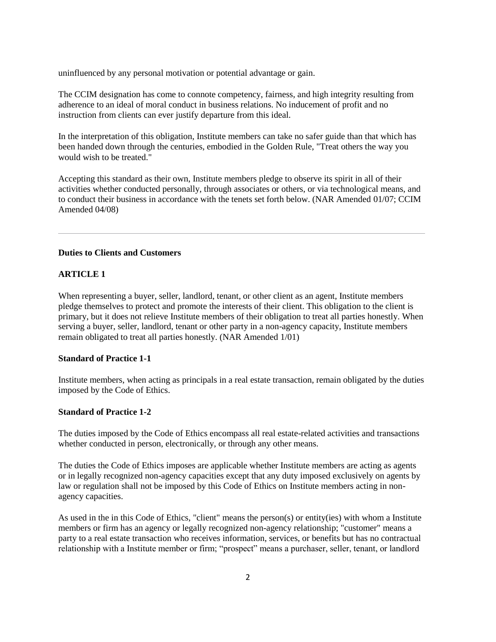uninfluenced by any personal motivation or potential advantage or gain.

The CCIM designation has come to connote competency, fairness, and high integrity resulting from adherence to an ideal of moral conduct in business relations. No inducement of profit and no instruction from clients can ever justify departure from this ideal.

In the interpretation of this obligation, Institute members can take no safer guide than that which has been handed down through the centuries, embodied in the Golden Rule, "Treat others the way you would wish to be treated."

Accepting this standard as their own, Institute members pledge to observe its spirit in all of their activities whether conducted personally, through associates or others, or via technological means, and to conduct their business in accordance with the tenets set forth below. (NAR Amended 01/07; CCIM Amended 04/08)

## **Duties to Clients and Customers**

## **ARTICLE 1**

When representing a buyer, seller, landlord, tenant, or other client as an agent, Institute members pledge themselves to protect and promote the interests of their client. This obligation to the client is primary, but it does not relieve Institute members of their obligation to treat all parties honestly. When serving a buyer, seller, landlord, tenant or other party in a non-agency capacity, Institute members remain obligated to treat all parties honestly. (NAR Amended 1/01)

## **Standard of Practice 1-1**

Institute members, when acting as principals in a real estate transaction, remain obligated by the duties imposed by the Code of Ethics.

# **Standard of Practice 1-2**

The duties imposed by the Code of Ethics encompass all real estate-related activities and transactions whether conducted in person, electronically, or through any other means.

The duties the Code of Ethics imposes are applicable whether Institute members are acting as agents or in legally recognized non-agency capacities except that any duty imposed exclusively on agents by law or regulation shall not be imposed by this Code of Ethics on Institute members acting in nonagency capacities.

As used in the in this Code of Ethics, "client" means the person(s) or entity(ies) with whom a Institute members or firm has an agency or legally recognized non-agency relationship; "customer" means a party to a real estate transaction who receives information, services, or benefits but has no contractual relationship with a Institute member or firm; "prospect" means a purchaser, seller, tenant, or landlord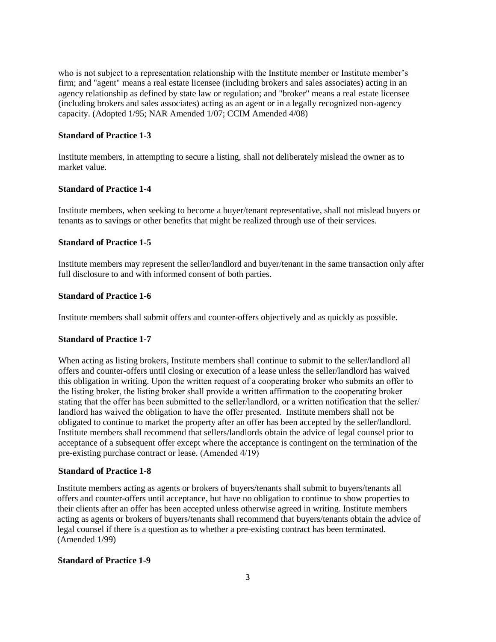who is not subject to a representation relationship with the Institute member or Institute member's firm; and "agent" means a real estate licensee (including brokers and sales associates) acting in an agency relationship as defined by state law or regulation; and "broker" means a real estate licensee (including brokers and sales associates) acting as an agent or in a legally recognized non-agency capacity. (Adopted 1/95; NAR Amended 1/07; CCIM Amended 4/08)

## **Standard of Practice 1-3**

Institute members, in attempting to secure a listing, shall not deliberately mislead the owner as to market value.

# **Standard of Practice 1-4**

Institute members, when seeking to become a buyer/tenant representative, shall not mislead buyers or tenants as to savings or other benefits that might be realized through use of their services.

# **Standard of Practice 1-5**

Institute members may represent the seller/landlord and buyer/tenant in the same transaction only after full disclosure to and with informed consent of both parties.

# **Standard of Practice 1-6**

Institute members shall submit offers and counter-offers objectively and as quickly as possible.

## **Standard of Practice 1-7**

When acting as listing brokers, Institute members shall continue to submit to the seller/landlord all offers and counter-offers until closing or execution of a lease unless the seller/landlord has waived this obligation in writing. Upon the written request of a cooperating broker who submits an offer to the listing broker, the listing broker shall provide a written affirmation to the cooperating broker stating that the offer has been submitted to the seller/landlord, or a written notification that the seller/ landlord has waived the obligation to have the offer presented. Institute members shall not be obligated to continue to market the property after an offer has been accepted by the seller/landlord. Institute members shall recommend that sellers/landlords obtain the advice of legal counsel prior to acceptance of a subsequent offer except where the acceptance is contingent on the termination of the pre-existing purchase contract or lease. (Amended 4/19)

#### **Standard of Practice 1-8**

Institute members acting as agents or brokers of buyers/tenants shall submit to buyers/tenants all offers and counter-offers until acceptance, but have no obligation to continue to show properties to their clients after an offer has been accepted unless otherwise agreed in writing. Institute members acting as agents or brokers of buyers/tenants shall recommend that buyers/tenants obtain the advice of legal counsel if there is a question as to whether a pre-existing contract has been terminated. (Amended 1/99)

### **Standard of Practice 1-9**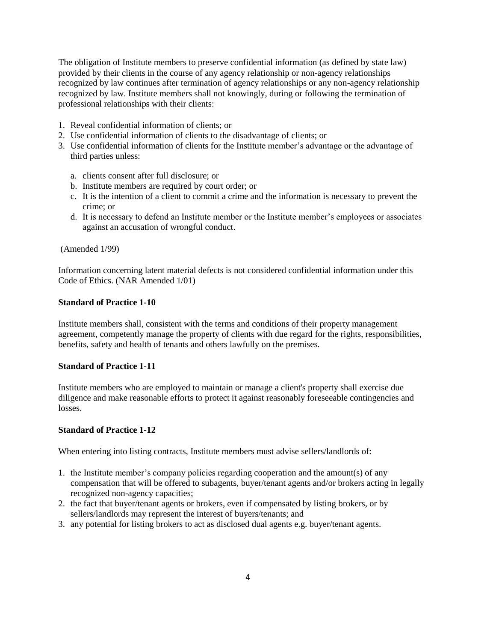provided by their clients in the course of any agency relationship or non-agency relationships recognized by law continues after termination of agency relationships or any non-agency relationship recognized by law. Institute members shall not knowingly, during or following the termination of professional relationships with their clients: The obligation of Institute members to preserve confidential information (as defined by state law)

- 1. Reveal confidential information of clients; or
- 2. Use confidential information of clients to the disadvantage of clients; or
- 3. Use confidential information of clients for the Institute member's advantage or the advantage of third parties unless:
	- a. clients consent after full disclosure; or
	- b. Institute members are required by court order; or
	- c. It is the intention of a client to commit a crime and the information is necessary to prevent the crime; or
	- d. It is necessary to defend an Institute member or the Institute member's employees or associates against an accusation of wrongful conduct.

(Amended 1/99)

Information concerning latent material defects is not considered confidential information under this Code of Ethics. (NAR Amended 1/01)

## **Standard of Practice 1-10**

Institute members shall, consistent with the terms and conditions of their property management agreement, competently manage the property of clients with due regard for the rights, responsibilities, benefits, safety and health of tenants and others lawfully on the premises.

# **Standard of Practice 1-11**

Institute members who are employed to maintain or manage a client's property shall exercise due diligence and make reasonable efforts to protect it against reasonably foreseeable contingencies and losses.

# **Standard of Practice 1-12**

When entering into listing contracts, Institute members must advise sellers/landlords of:

- 1. the Institute member's company policies regarding cooperation and the amount(s) of any compensation that will be offered to subagents, buyer/tenant agents and/or brokers acting in legally recognized non-agency capacities;
- 2. the fact that buyer/tenant agents or brokers, even if compensated by listing brokers, or by sellers/landlords may represent the interest of buyers/tenants; and
- 3. any potential for listing brokers to act as disclosed dual agents e.g. buyer/tenant agents.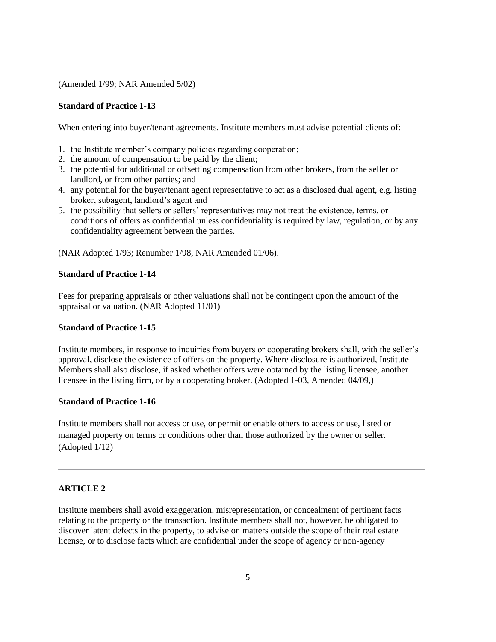(Amended 1/99; NAR Amended 5/02)

# **Standard of Practice 1-13**

When entering into buyer/tenant agreements, Institute members must advise potential clients of:

- 1. the Institute member's company policies regarding cooperation;
- 2. the amount of compensation to be paid by the client;
- 3. the potential for additional or offsetting compensation from other brokers, from the seller or landlord, or from other parties; and
- 4. any potential for the buyer/tenant agent representative to act as a disclosed dual agent, e.g. listing broker, subagent, landlord's agent and
- 5. the possibility that sellers or sellers' representatives may not treat the existence, terms, or conditions of offers as confidential unless confidentiality is required by law, regulation, or by any confidentiality agreement between the parties.

(NAR Adopted 1/93; Renumber 1/98, NAR Amended 01/06).

# **Standard of Practice 1-14**

Fees for preparing appraisals or other valuations shall not be contingent upon the amount of the appraisal or valuation. (NAR Adopted 11/01)

## **Standard of Practice 1-15**

Institute members, in response to inquiries from buyers or cooperating brokers shall, with the seller's approval, disclose the existence of offers on the property. Where disclosure is authorized, Institute Members shall also disclose, if asked whether offers were obtained by the listing licensee, another licensee in the listing firm, or by a cooperating broker. (Adopted 1-03, Amended 04/09,)

# **Standard of Practice 1-16**

Institute members shall not access or use, or permit or enable others to access or use, listed or managed property on terms or conditions other than those authorized by the owner or seller. (Adopted 1/12)

# **ARTICLE 2**

Institute members shall avoid exaggeration, misrepresentation, or concealment of pertinent facts relating to the property or the transaction. Institute members shall not, however, be obligated to discover latent defects in the property, to advise on matters outside the scope of their real estate license, or to disclose facts which are confidential under the scope of agency or non-agency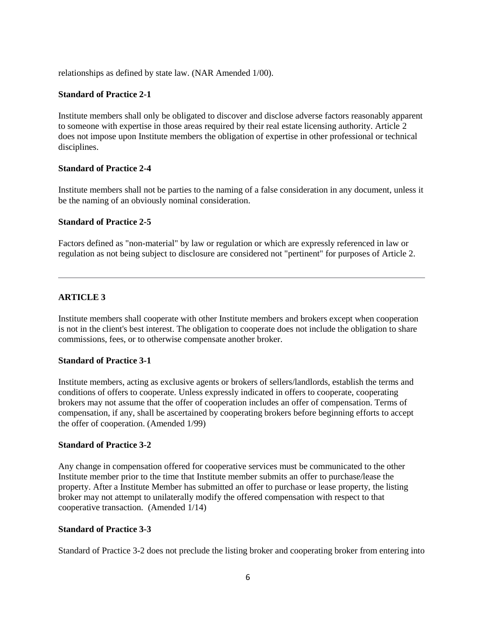relationships as defined by state law. (NAR Amended 1/00).

## **Standard of Practice 2-1**

Institute members shall only be obligated to discover and disclose adverse factors reasonably apparent to someone with expertise in those areas required by their real estate licensing authority. Article 2 does not impose upon Institute members the obligation of expertise in other professional or technical disciplines.

#### **Standard of Practice 2-4**

Institute members shall not be parties to the naming of a false consideration in any document, unless it be the naming of an obviously nominal consideration.

#### **Standard of Practice 2-5**

Factors defined as "non-material" by law or regulation or which are expressly referenced in law or regulation as not being subject to disclosure are considered not "pertinent" for purposes of Article 2.

## **ARTICLE 3**

Institute members shall cooperate with other Institute members and brokers except when cooperation is not in the client's best interest. The obligation to cooperate does not include the obligation to share commissions, fees, or to otherwise compensate another broker.

# **Standard of Practice 3-1**

Institute members, acting as exclusive agents or brokers of sellers/landlords, establish the terms and conditions of offers to cooperate. Unless expressly indicated in offers to cooperate, cooperating brokers may not assume that the offer of cooperation includes an offer of compensation. Terms of compensation, if any, shall be ascertained by cooperating brokers before beginning efforts to accept the offer of cooperation. (Amended 1/99)

## **Standard of Practice 3-2**

Any change in compensation offered for cooperative services must be communicated to the other Institute member prior to the time that Institute member submits an offer to purchase/lease the property. After a Institute Member has submitted an offer to purchase or lease property, the listing broker may not attempt to unilaterally modify the offered compensation with respect to that cooperative transaction. (Amended 1/14)

#### **Standard of Practice 3-3**

Standard of Practice 3-2 does not preclude the listing broker and cooperating broker from entering into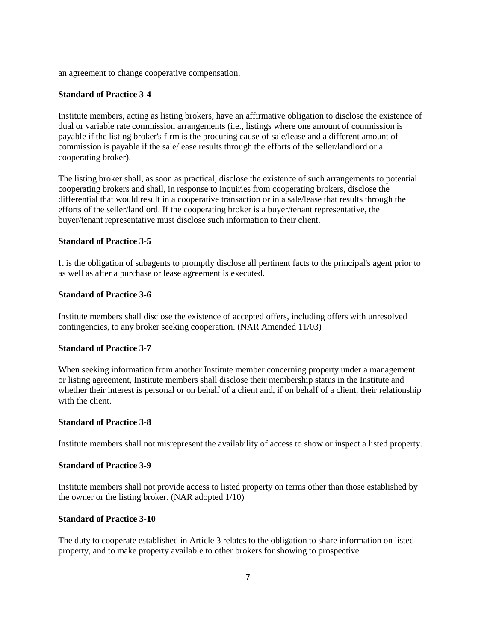an agreement to change cooperative compensation.

## **Standard of Practice 3-4**

Institute members, acting as listing brokers, have an affirmative obligation to disclose the existence of dual or variable rate commission arrangements (i.e., listings where one amount of commission is payable if the listing broker's firm is the procuring cause of sale/lease and a different amount of commission is payable if the sale/lease results through the efforts of the seller/landlord or a cooperating broker).

The listing broker shall, as soon as practical, disclose the existence of such arrangements to potential cooperating brokers and shall, in response to inquiries from cooperating brokers, disclose the differential that would result in a cooperative transaction or in a sale/lease that results through the efforts of the seller/landlord. If the cooperating broker is a buyer/tenant representative, the buyer/tenant representative must disclose such information to their client.

## **Standard of Practice 3-5**

It is the obligation of subagents to promptly disclose all pertinent facts to the principal's agent prior to as well as after a purchase or lease agreement is executed.

## **Standard of Practice 3-6**

Institute members shall disclose the existence of accepted offers, including offers with unresolved contingencies, to any broker seeking cooperation. (NAR Amended 11/03)

## **Standard of Practice 3-7**

When seeking information from another Institute member concerning property under a management or listing agreement, Institute members shall disclose their membership status in the Institute and whether their interest is personal or on behalf of a client and, if on behalf of a client, their relationship with the client.

#### **Standard of Practice 3-8**

Institute members shall not misrepresent the availability of access to show or inspect a listed property.

# **Standard of Practice 3-9**

Institute members shall not provide access to listed property on terms other than those established by the owner or the listing broker. (NAR adopted 1/10)

## **Standard of Practice 3-10**

The duty to cooperate established in Article 3 relates to the obligation to share information on listed property, and to make property available to other brokers for showing to prospective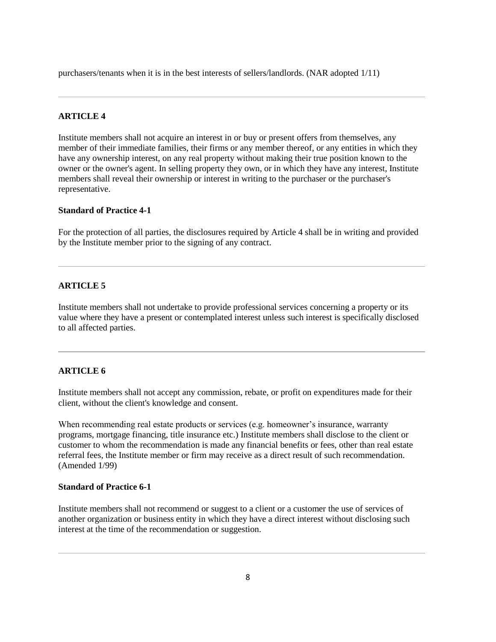purchasers/tenants when it is in the best interests of sellers/landlords. (NAR adopted 1/11)

# **ARTICLE 4**

Institute members shall not acquire an interest in or buy or present offers from themselves, any member of their immediate families, their firms or any member thereof, or any entities in which they have any ownership interest, on any real property without making their true position known to the owner or the owner's agent. In selling property they own, or in which they have any interest, Institute members shall reveal their ownership or interest in writing to the purchaser or the purchaser's representative.

# **Standard of Practice 4-1**

For the protection of all parties, the disclosures required by Article 4 shall be in writing and provided by the Institute member prior to the signing of any contract.

# **ARTICLE 5**

Institute members shall not undertake to provide professional services concerning a property or its value where they have a present or contemplated interest unless such interest is specifically disclosed to all affected parties.

# **ARTICLE 6**

Institute members shall not accept any commission, rebate, or profit on expenditures made for their client, without the client's knowledge and consent.

When recommending real estate products or services (e.g. homeowner's insurance, warranty programs, mortgage financing, title insurance etc.) Institute members shall disclose to the client or customer to whom the recommendation is made any financial benefits or fees, other than real estate referral fees, the Institute member or firm may receive as a direct result of such recommendation. (Amended 1/99)

## **Standard of Practice 6-1**

Institute members shall not recommend or suggest to a client or a customer the use of services of another organization or business entity in which they have a direct interest without disclosing such interest at the time of the recommendation or suggestion.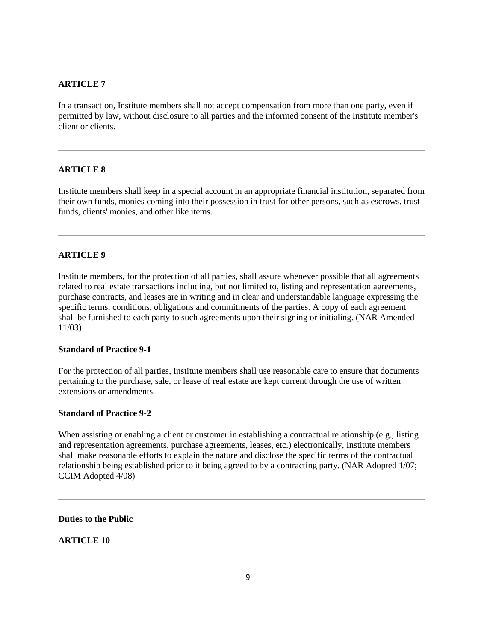# **ARTICLE 7**

In a transaction, Institute members shall not accept compensation from more than one party, even if permitted by law, without disclosure to all parties and the informed consent of the Institute member's client or clients.

# **ARTICLE 8**

Institute members shall keep in a special account in an appropriate financial institution, separated from their own funds, monies coming into their possession in trust for other persons, such as escrows, trust funds, clients' monies, and other like items.

## **ARTICLE 9**

Institute members, for the protection of all parties, shall assure whenever possible that all agreements related to real estate transactions including, but not limited to, listing and representation agreements, purchase contracts, and leases are in writing and in clear and understandable language expressing the specific terms, conditions, obligations and commitments of the parties. A copy of each agreement shall be furnished to each party to such agreements upon their signing or initialing. (NAR Amended 11/03)

## **Standard of Practice 9-1**

For the protection of all parties, Institute members shall use reasonable care to ensure that documents pertaining to the purchase, sale, or lease of real estate are kept current through the use of written extensions or amendments.

## **Standard of Practice 9-2**

When assisting or enabling a client or customer in establishing a contractual relationship (e.g., listing and representation agreements, purchase agreements, leases, etc.) electronically, Institute members shall make reasonable efforts to explain the nature and disclose the specific terms of the contractual relationship being established prior to it being agreed to by a contracting party. (NAR Adopted 1/07; CCIM Adopted 4/08)

**Duties to the Public**

**ARTICLE 10**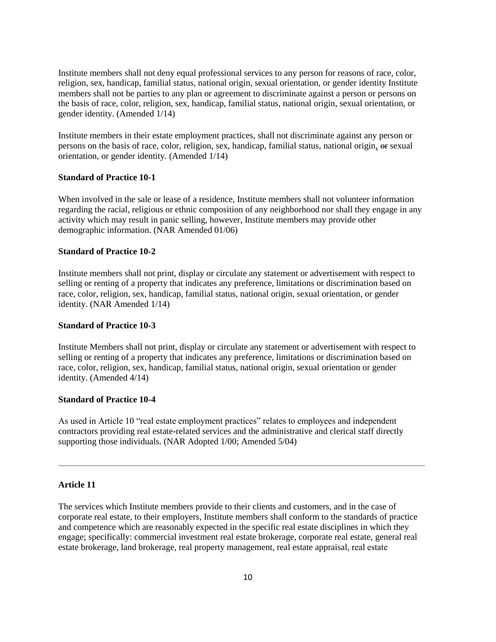Institute members shall not deny equal professional services to any person for reasons of race, color, religion, sex, handicap, familial status, national origin, sexual orientation, or gender identity Institute members shall not be parties to any plan or agreement to discriminate against a person or persons on the basis of race, color, religion, sex, handicap, familial status, national origin, sexual orientation, or gender identity. (Amended 1/14)

Institute members in their estate employment practices, shall not discriminate against any person or persons on the basis of race, color, religion, sex, handicap, familial status, national origin, or sexual orientation, or gender identity. (Amended 1/14)

#### **Standard of Practice 10-1**

When involved in the sale or lease of a residence, Institute members shall not volunteer information regarding the racial, religious or ethnic composition of any neighborhood nor shall they engage in any activity which may result in panic selling, however, Institute members may provide other demographic information. (NAR Amended 01/06)

# **Standard of Practice 10-2**

Institute members shall not print, display or circulate any statement or advertisement with respect to selling or renting of a property that indicates any preference, limitations or discrimination based on race, color, religion, sex, handicap, familial status, national origin, sexual orientation, or gender identity. (NAR Amended 1/14)

# **Standard of Practice 10-3**

Institute Members shall not print, display or circulate any statement or advertisement with respect to selling or renting of a property that indicates any preference, limitations or discrimination based on race, color, religion, sex, handicap, familial status, national origin, sexual orientation or gender identity. (Amended 4/14)

## **Standard of Practice 10-4**

As used in Article 10 "real estate employment practices" relates to employees and independent contractors providing real estate-related services and the administrative and clerical staff directly supporting those individuals. (NAR Adopted 1/00; Amended 5/04)

#### **Article 11**

The services which Institute members provide to their clients and customers, and in the case of corporate real estate, to their employers, Institute members shall conform to the standards of practice and competence which are reasonably expected in the specific real estate disciplines in which they engage; specifically: commercial investment real estate brokerage, corporate real estate, general real estate brokerage, land brokerage, real property management, real estate appraisal, real estate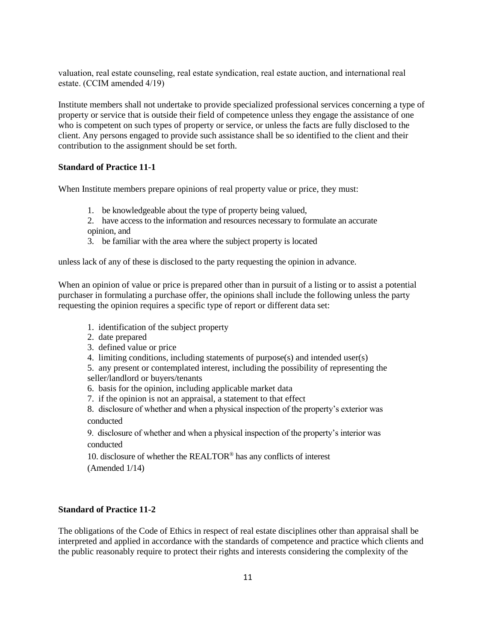valuation, real estate counseling, real estate syndication, real estate auction, and international real estate. (CCIM amended 4/19)

Institute members shall not undertake to provide specialized professional services concerning a type of property or service that is outside their field of competence unless they engage the assistance of one who is competent on such types of property or service, or unless the facts are fully disclosed to the client. Any persons engaged to provide such assistance shall be so identified to the client and their contribution to the assignment should be set forth.

## **Standard of Practice 11-1**

When Institute members prepare opinions of real property value or price, they must:

- 1. be knowledgeable about the type of property being valued,
- 2. have access to the information and resources necessary to formulate an accurate opinion, and
- 3. be familiar with the area where the subject property is located

unless lack of any of these is disclosed to the party requesting the opinion in advance.

When an opinion of value or price is prepared other than in pursuit of a listing or to assist a potential purchaser in formulating a purchase offer, the opinions shall include the following unless the party requesting the opinion requires a specific type of report or different data set:

- 1. identification of the subject property
- 2. date prepared
- 3. defined value or price
- 4. limiting conditions, including statements of purpose(s) and intended user(s)

5. any present or contemplated interest, including the possibility of representing the seller/landlord or buyers/tenants

- 6. basis for the opinion, including applicable market data
- 7. if the opinion is not an appraisal, a statement to that effect
- 8. disclosure of whether and when a physical inspection of the property's exterior was conducted

9. disclosure of whether and when a physical inspection of the property's interior was conducted

10. disclosure of whether the REALTOR® has any conflicts of interest (Amended 1/14)

## **Standard of Practice 11-2**

The obligations of the Code of Ethics in respect of real estate disciplines other than appraisal shall be interpreted and applied in accordance with the standards of competence and practice which clients and the public reasonably require to protect their rights and interests considering the complexity of the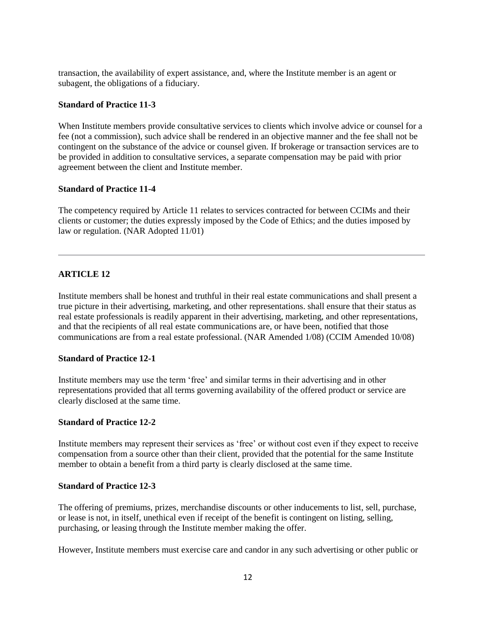transaction, the availability of expert assistance, and, where the Institute member is an agent or subagent, the obligations of a fiduciary.

# **Standard of Practice 11-3**

When Institute members provide consultative services to clients which involve advice or counsel for a fee (not a commission), such advice shall be rendered in an objective manner and the fee shall not be contingent on the substance of the advice or counsel given. If brokerage or transaction services are to be provided in addition to consultative services, a separate compensation may be paid with prior agreement between the client and Institute member.

# **Standard of Practice 11-4**

The competency required by Article 11 relates to services contracted for between CCIMs and their clients or customer; the duties expressly imposed by the Code of Ethics; and the duties imposed by law or regulation. (NAR Adopted 11/01)

## **ARTICLE 12**

Institute members shall be honest and truthful in their real estate communications and shall present a true picture in their advertising, marketing, and other representations. shall ensure that their status as real estate professionals is readily apparent in their advertising, marketing, and other representations, and that the recipients of all real estate communications are, or have been, notified that those communications are from a real estate professional. (NAR Amended 1/08) (CCIM Amended 10/08)

#### **Standard of Practice 12-1**

Institute members may use the term 'free' and similar terms in their advertising and in other representations provided that all terms governing availability of the offered product or service are clearly disclosed at the same time.

## **Standard of Practice 12-2**

Institute members may represent their services as 'free' or without cost even if they expect to receive compensation from a source other than their client, provided that the potential for the same Institute member to obtain a benefit from a third party is clearly disclosed at the same time.

#### **Standard of Practice 12-3**

The offering of premiums, prizes, merchandise discounts or other inducements to list, sell, purchase, or lease is not, in itself, unethical even if receipt of the benefit is contingent on listing, selling, purchasing, or leasing through the Institute member making the offer.

However, Institute members must exercise care and candor in any such advertising or other public or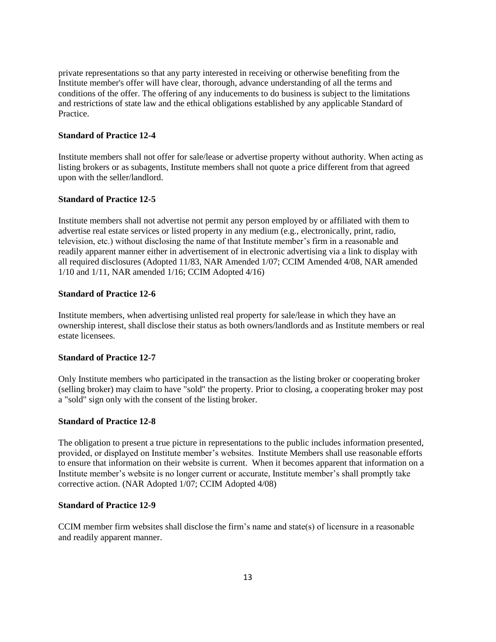private representations so that any party interested in receiving or otherwise benefiting from the Institute member's offer will have clear, thorough, advance understanding of all the terms and conditions of the offer. The offering of any inducements to do business is subject to the limitations and restrictions of state law and the ethical obligations established by any applicable Standard of Practice.

# **Standard of Practice 12-4**

Institute members shall not offer for sale/lease or advertise property without authority. When acting as listing brokers or as subagents, Institute members shall not quote a price different from that agreed upon with the seller/landlord.

# **Standard of Practice 12-5**

Institute members shall not advertise not permit any person employed by or affiliated with them to advertise real estate services or listed property in any medium (e.g., electronically, print, radio, television, etc.) without disclosing the name of that Institute member's firm in a reasonable and readily apparent manner either in advertisement of in electronic advertising via a link to display with all required disclosures (Adopted 11/83, NAR Amended 1/07; CCIM Amended 4/08, NAR amended 1/10 and 1/11, NAR amended 1/16; CCIM Adopted 4/16)

# **Standard of Practice 12-6**

Institute members, when advertising unlisted real property for sale/lease in which they have an ownership interest, shall disclose their status as both owners/landlords and as Institute members or real estate licensees.

## **Standard of Practice 12-7**

Only Institute members who participated in the transaction as the listing broker or cooperating broker (selling broker) may claim to have "sold" the property. Prior to closing, a cooperating broker may post a "sold" sign only with the consent of the listing broker.

## **Standard of Practice 12-8**

The obligation to present a true picture in representations to the public includes information presented, provided, or displayed on Institute member's websites. Institute Members shall use reasonable efforts to ensure that information on their website is current. When it becomes apparent that information on a Institute member's website is no longer current or accurate, Institute member's shall promptly take corrective action. (NAR Adopted 1/07; CCIM Adopted 4/08)

# **Standard of Practice 12-9**

CCIM member firm websites shall disclose the firm's name and state(s) of licensure in a reasonable and readily apparent manner.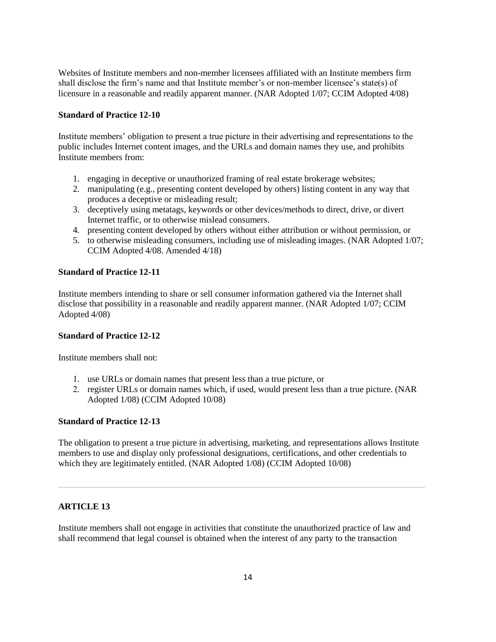Websites of Institute members and non-member licensees affiliated with an Institute members firm shall disclose the firm's name and that Institute member's or non-member licensee's state(s) of licensure in a reasonable and readily apparent manner. (NAR Adopted 1/07; CCIM Adopted 4/08)

# **Standard of Practice 12-10**

Institute members' obligation to present a true picture in their advertising and representations to the public includes Internet content images, and the URLs and domain names they use, and prohibits Institute members from:

- 1. engaging in deceptive or unauthorized framing of real estate brokerage websites;
- 2. manipulating (e.g., presenting content developed by others) listing content in any way that produces a deceptive or misleading result;
- 3. deceptively using metatags, keywords or other devices/methods to direct, drive, or divert Internet traffic, or to otherwise mislead consumers.
- 4. presenting content developed by others without either attribution or without permission, or
- 5. to otherwise misleading consumers, including use of misleading images. (NAR Adopted 1/07; CCIM Adopted 4/08. Amended 4/18)

# **Standard of Practice 12-11**

Institute members intending to share or sell consumer information gathered via the Internet shall disclose that possibility in a reasonable and readily apparent manner. (NAR Adopted 1/07; CCIM Adopted 4/08)

## **Standard of Practice 12-12**

Institute members shall not:

- 1. use URLs or domain names that present less than a true picture, or
- 2. register URLs or domain names which, if used, would present less than a true picture. (NAR Adopted 1/08) (CCIM Adopted 10/08)

## **Standard of Practice 12-13**

The obligation to present a true picture in advertising, marketing, and representations allows Institute members to use and display only professional designations, certifications, and other credentials to which they are legitimately entitled. (NAR Adopted 1/08) (CCIM Adopted 10/08)

# **ARTICLE 13**

Institute members shall not engage in activities that constitute the unauthorized practice of law and shall recommend that legal counsel is obtained when the interest of any party to the transaction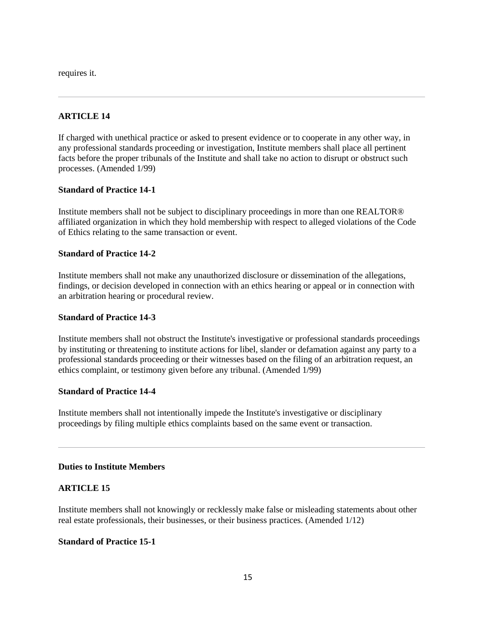requires it.

# **ARTICLE 14**

If charged with unethical practice or asked to present evidence or to cooperate in any other way, in any professional standards proceeding or investigation, Institute members shall place all pertinent facts before the proper tribunals of the Institute and shall take no action to disrupt or obstruct such processes. (Amended 1/99)

# **Standard of Practice 14-1**

Institute members shall not be subject to disciplinary proceedings in more than one REALTOR® affiliated organization in which they hold membership with respect to alleged violations of the Code of Ethics relating to the same transaction or event.

# **Standard of Practice 14-2**

Institute members shall not make any unauthorized disclosure or dissemination of the allegations, findings, or decision developed in connection with an ethics hearing or appeal or in connection with an arbitration hearing or procedural review.

# **Standard of Practice 14-3**

Institute members shall not obstruct the Institute's investigative or professional standards proceedings by instituting or threatening to institute actions for libel, slander or defamation against any party to a professional standards proceeding or their witnesses based on the filing of an arbitration request, an ethics complaint, or testimony given before any tribunal. (Amended 1/99)

# **Standard of Practice 14-4**

Institute members shall not intentionally impede the Institute's investigative or disciplinary proceedings by filing multiple ethics complaints based on the same event or transaction.

## **Duties to Institute Members**

# **ARTICLE 15**

Institute members shall not knowingly or recklessly make false or misleading statements about other real estate professionals, their businesses, or their business practices. (Amended 1/12)

## **Standard of Practice 15-1**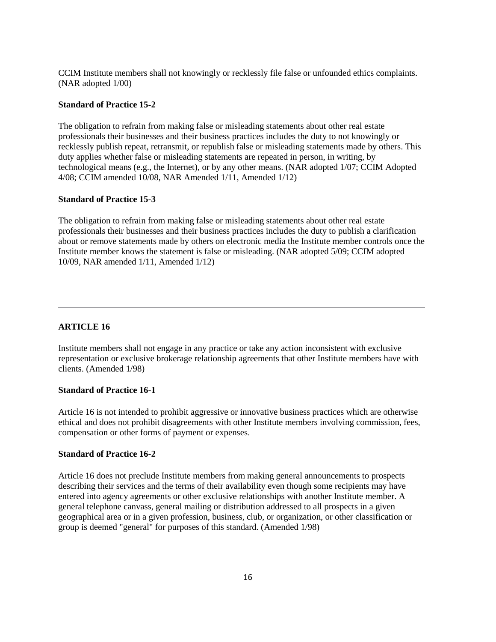CCIM Institute members shall not knowingly or recklessly file false or unfounded ethics complaints. (NAR adopted 1/00)

## **Standard of Practice 15-2**

The obligation to refrain from making false or misleading statements about other real estate professionals their businesses and their business practices includes the duty to not knowingly or recklessly publish repeat, retransmit, or republish false or misleading statements made by others. This duty applies whether false or misleading statements are repeated in person, in writing, by technological means (e.g., the Internet), or by any other means. (NAR adopted 1/07; CCIM Adopted 4/08; CCIM amended 10/08, NAR Amended 1/11, Amended 1/12)

## **Standard of Practice 15-3**

The obligation to refrain from making false or misleading statements about other real estate professionals their businesses and their business practices includes the duty to publish a clarification about or remove statements made by others on electronic media the Institute member controls once the Institute member knows the statement is false or misleading. (NAR adopted 5/09; CCIM adopted 10/09, NAR amended 1/11, Amended 1/12)

# **ARTICLE 16**

Institute members shall not engage in any practice or take any action inconsistent with exclusive representation or exclusive brokerage relationship agreements that other Institute members have with clients. (Amended 1/98)

## **Standard of Practice 16-1**

Article 16 is not intended to prohibit aggressive or innovative business practices which are otherwise ethical and does not prohibit disagreements with other Institute members involving commission, fees, compensation or other forms of payment or expenses.

# **Standard of Practice 16-2**

Article 16 does not preclude Institute members from making general announcements to prospects describing their services and the terms of their availability even though some recipients may have entered into agency agreements or other exclusive relationships with another Institute member. A general telephone canvass, general mailing or distribution addressed to all prospects in a given geographical area or in a given profession, business, club, or organization, or other classification or group is deemed "general" for purposes of this standard. (Amended 1/98)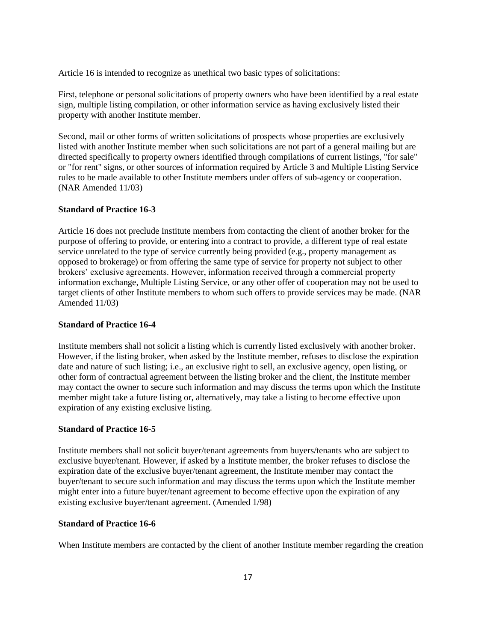Article 16 is intended to recognize as unethical two basic types of solicitations:

First, telephone or personal solicitations of property owners who have been identified by a real estate sign, multiple listing compilation, or other information service as having exclusively listed their property with another Institute member.

Second, mail or other forms of written solicitations of prospects whose properties are exclusively listed with another Institute member when such solicitations are not part of a general mailing but are directed specifically to property owners identified through compilations of current listings, "for sale" or "for rent" signs, or other sources of information required by Article 3 and Multiple Listing Service rules to be made available to other Institute members under offers of sub-agency or cooperation. (NAR Amended 11/03)

## **Standard of Practice 16-3**

Article 16 does not preclude Institute members from contacting the client of another broker for the purpose of offering to provide, or entering into a contract to provide, a different type of real estate service unrelated to the type of service currently being provided (e.g., property management as opposed to brokerage) or from offering the same type of service for property not subject to other brokers' exclusive agreements. However, information received through a commercial property information exchange, Multiple Listing Service, or any other offer of cooperation may not be used to target clients of other Institute members to whom such offers to provide services may be made. (NAR Amended 11/03)

## **Standard of Practice 16-4**

Institute members shall not solicit a listing which is currently listed exclusively with another broker. However, if the listing broker, when asked by the Institute member, refuses to disclose the expiration date and nature of such listing; i.e., an exclusive right to sell, an exclusive agency, open listing, or other form of contractual agreement between the listing broker and the client, the Institute member may contact the owner to secure such information and may discuss the terms upon which the Institute member might take a future listing or, alternatively, may take a listing to become effective upon expiration of any existing exclusive listing.

## **Standard of Practice 16-5**

Institute members shall not solicit buyer/tenant agreements from buyers/tenants who are subject to exclusive buyer/tenant. However, if asked by a Institute member, the broker refuses to disclose the expiration date of the exclusive buyer/tenant agreement, the Institute member may contact the buyer/tenant to secure such information and may discuss the terms upon which the Institute member might enter into a future buyer/tenant agreement to become effective upon the expiration of any existing exclusive buyer/tenant agreement. (Amended 1/98)

# **Standard of Practice 16-6**

When Institute members are contacted by the client of another Institute member regarding the creation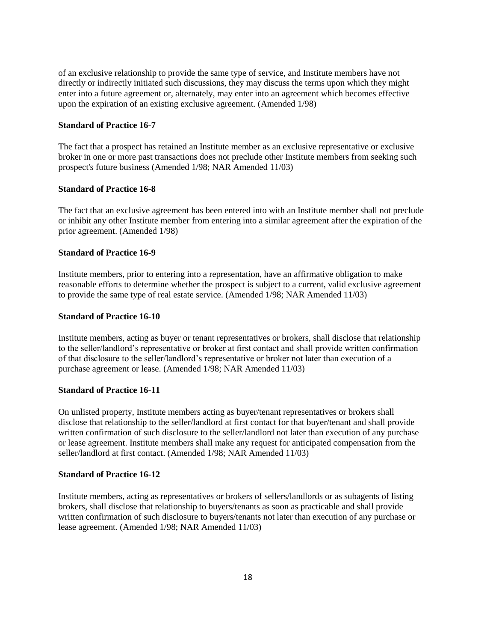of an exclusive relationship to provide the same type of service, and Institute members have not directly or indirectly initiated such discussions, they may discuss the terms upon which they might enter into a future agreement or, alternately, may enter into an agreement which becomes effective upon the expiration of an existing exclusive agreement. (Amended 1/98)

## **Standard of Practice 16-7**

The fact that a prospect has retained an Institute member as an exclusive representative or exclusive broker in one or more past transactions does not preclude other Institute members from seeking such prospect's future business (Amended 1/98; NAR Amended 11/03)

# **Standard of Practice 16-8**

The fact that an exclusive agreement has been entered into with an Institute member shall not preclude or inhibit any other Institute member from entering into a similar agreement after the expiration of the prior agreement. (Amended 1/98)

#### **Standard of Practice 16-9**

Institute members, prior to entering into a representation, have an affirmative obligation to make reasonable efforts to determine whether the prospect is subject to a current, valid exclusive agreement to provide the same type of real estate service. (Amended 1/98; NAR Amended 11/03)

# **Standard of Practice 16-10**

Institute members, acting as buyer or tenant representatives or brokers, shall disclose that relationship to the seller/landlord's representative or broker at first contact and shall provide written confirmation of that disclosure to the seller/landlord's representative or broker not later than execution of a purchase agreement or lease. (Amended 1/98; NAR Amended 11/03)

#### **Standard of Practice 16-11**

On unlisted property, Institute members acting as buyer/tenant representatives or brokers shall disclose that relationship to the seller/landlord at first contact for that buyer/tenant and shall provide written confirmation of such disclosure to the seller/landlord not later than execution of any purchase or lease agreement. Institute members shall make any request for anticipated compensation from the seller/landlord at first contact. (Amended 1/98; NAR Amended 11/03)

#### **Standard of Practice 16-12**

Institute members, acting as representatives or brokers of sellers/landlords or as subagents of listing brokers, shall disclose that relationship to buyers/tenants as soon as practicable and shall provide written confirmation of such disclosure to buyers/tenants not later than execution of any purchase or lease agreement. (Amended 1/98; NAR Amended 11/03)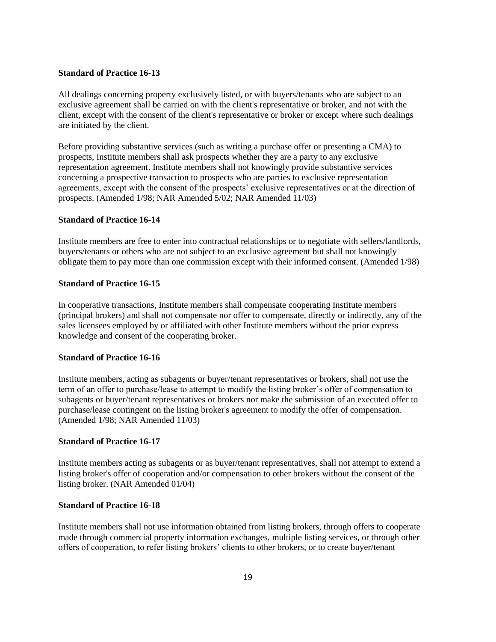## **Standard of Practice 16-13**

All dealings concerning property exclusively listed, or with buyers/tenants who are subject to an exclusive agreement shall be carried on with the client's representative or broker, and not with the client, except with the consent of the client's representative or broker or except where such dealings are initiated by the client.

Before providing substantive services (such as writing a purchase offer or presenting a CMA) to prospects, Institute members shall ask prospects whether they are a party to any exclusive representation agreement. Institute members shall not knowingly provide substantive services concerning a prospective transaction to prospects who are parties to exclusive representation agreements, except with the consent of the prospects' exclusive representatives or at the direction of prospects. (Amended 1/98; NAR Amended 5/02; NAR Amended 11/03)

## **Standard of Practice 16-14**

Institute members are free to enter into contractual relationships or to negotiate with sellers/landlords, buyers/tenants or others who are not subject to an exclusive agreement but shall not knowingly obligate them to pay more than one commission except with their informed consent. (Amended 1/98)

## **Standard of Practice 16-15**

In cooperative transactions, Institute members shall compensate cooperating Institute members (principal brokers) and shall not compensate nor offer to compensate, directly or indirectly, any of the sales licensees employed by or affiliated with other Institute members without the prior express knowledge and consent of the cooperating broker.

## **Standard of Practice 16-16**

Institute members, acting as subagents or buyer/tenant representatives or brokers, shall not use the term of an offer to purchase/lease to attempt to modify the listing broker's offer of compensation to subagents or buyer/tenant representatives or brokers nor make the submission of an executed offer to purchase/lease contingent on the listing broker's agreement to modify the offer of compensation. (Amended 1/98; NAR Amended 11/03)

# **Standard of Practice 16-17**

Institute members acting as subagents or as buyer/tenant representatives, shall not attempt to extend a listing broker's offer of cooperation and/or compensation to other brokers without the consent of the listing broker. (NAR Amended 01/04)

#### **Standard of Practice 16-18**

Institute members shall not use information obtained from listing brokers, through offers to cooperate made through commercial property information exchanges, multiple listing services, or through other offers of cooperation, to refer listing brokers' clients to other brokers, or to create buyer/tenant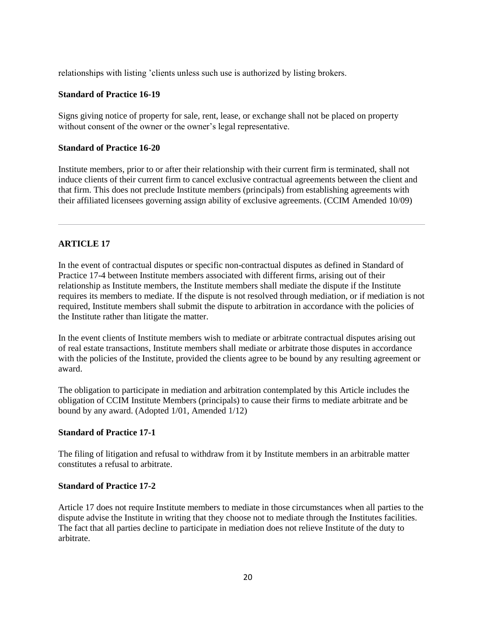relationships with listing 'clients unless such use is authorized by listing brokers.

## **Standard of Practice 16-19**

Signs giving notice of property for sale, rent, lease, or exchange shall not be placed on property without consent of the owner or the owner's legal representative.

## **Standard of Practice 16-20**

Institute members, prior to or after their relationship with their current firm is terminated, shall not induce clients of their current firm to cancel exclusive contractual agreements between the client and that firm. This does not preclude Institute members (principals) from establishing agreements with their affiliated licensees governing assign ability of exclusive agreements. (CCIM Amended 10/09)

## **ARTICLE 17**

In the event of contractual disputes or specific non-contractual disputes as defined in Standard of Practice 17-4 between Institute members associated with different firms, arising out of their relationship as Institute members, the Institute members shall mediate the dispute if the Institute requires its members to mediate. If the dispute is not resolved through mediation, or if mediation is not required, Institute members shall submit the dispute to arbitration in accordance with the policies of the Institute rather than litigate the matter.

In the event clients of Institute members wish to mediate or arbitrate contractual disputes arising out of real estate transactions, Institute members shall mediate or arbitrate those disputes in accordance with the policies of the Institute, provided the clients agree to be bound by any resulting agreement or award.

The obligation to participate in mediation and arbitration contemplated by this Article includes the obligation of CCIM Institute Members (principals) to cause their firms to mediate arbitrate and be bound by any award. (Adopted 1/01, Amended 1/12)

## **Standard of Practice 17-1**

The filing of litigation and refusal to withdraw from it by Institute members in an arbitrable matter constitutes a refusal to arbitrate.

#### **Standard of Practice 17-2**

Article 17 does not require Institute members to mediate in those circumstances when all parties to the dispute advise the Institute in writing that they choose not to mediate through the Institutes facilities. The fact that all parties decline to participate in mediation does not relieve Institute of the duty to arbitrate.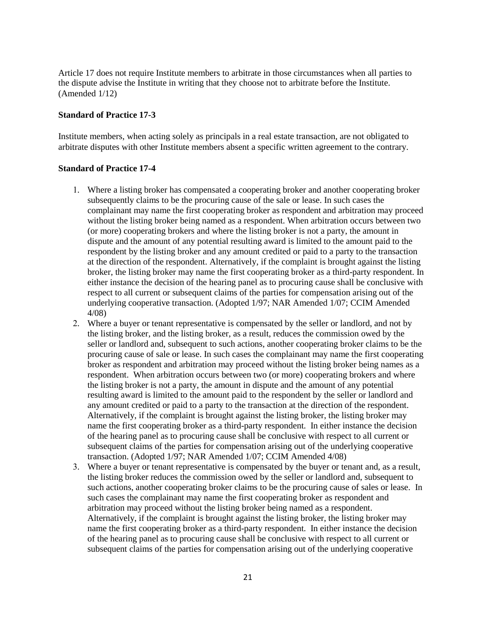Article 17 does not require Institute members to arbitrate in those circumstances when all parties to the dispute advise the Institute in writing that they choose not to arbitrate before the Institute. (Amended 1/12)

## **Standard of Practice 17-3**

Institute members, when acting solely as principals in a real estate transaction, are not obligated to arbitrate disputes with other Institute members absent a specific written agreement to the contrary.

#### **Standard of Practice 17-4**

- 1. Where a listing broker has compensated a cooperating broker and another cooperating broker subsequently claims to be the procuring cause of the sale or lease. In such cases the complainant may name the first cooperating broker as respondent and arbitration may proceed without the listing broker being named as a respondent. When arbitration occurs between two (or more) cooperating brokers and where the listing broker is not a party, the amount in dispute and the amount of any potential resulting award is limited to the amount paid to the respondent by the listing broker and any amount credited or paid to a party to the transaction at the direction of the respondent. Alternatively, if the complaint is brought against the listing broker, the listing broker may name the first cooperating broker as a third-party respondent. In either instance the decision of the hearing panel as to procuring cause shall be conclusive with respect to all current or subsequent claims of the parties for compensation arising out of the underlying cooperative transaction. (Adopted 1/97; NAR Amended 1/07; CCIM Amended 4/08)
- 2. Where a buyer or tenant representative is compensated by the seller or landlord, and not by the listing broker, and the listing broker, as a result, reduces the commission owed by the seller or landlord and, subsequent to such actions, another cooperating broker claims to be the procuring cause of sale or lease. In such cases the complainant may name the first cooperating broker as respondent and arbitration may proceed without the listing broker being names as a respondent. When arbitration occurs between two (or more) cooperating brokers and where the listing broker is not a party, the amount in dispute and the amount of any potential resulting award is limited to the amount paid to the respondent by the seller or landlord and any amount credited or paid to a party to the transaction at the direction of the respondent. Alternatively, if the complaint is brought against the listing broker, the listing broker may name the first cooperating broker as a third-party respondent. In either instance the decision of the hearing panel as to procuring cause shall be conclusive with respect to all current or subsequent claims of the parties for compensation arising out of the underlying cooperative transaction. (Adopted 1/97; NAR Amended 1/07; CCIM Amended 4/08)
- 3. Where a buyer or tenant representative is compensated by the buyer or tenant and, as a result, the listing broker reduces the commission owed by the seller or landlord and, subsequent to such actions, another cooperating broker claims to be the procuring cause of sales or lease. In such cases the complainant may name the first cooperating broker as respondent and arbitration may proceed without the listing broker being named as a respondent. Alternatively, if the complaint is brought against the listing broker, the listing broker may name the first cooperating broker as a third-party respondent. In either instance the decision of the hearing panel as to procuring cause shall be conclusive with respect to all current or subsequent claims of the parties for compensation arising out of the underlying cooperative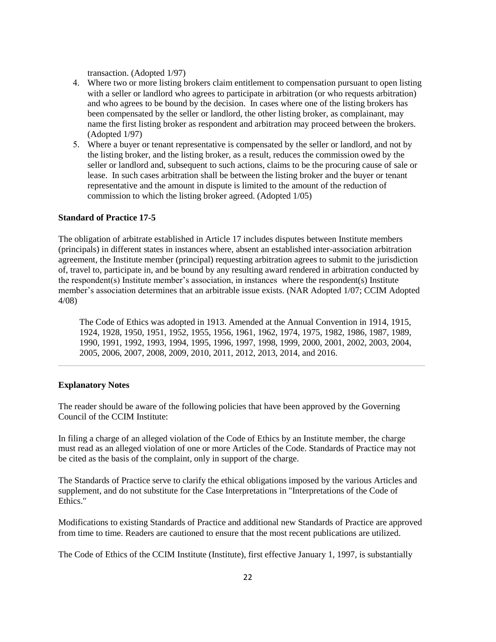transaction. (Adopted 1/97)

- 4. Where two or more listing brokers claim entitlement to compensation pursuant to open listing with a seller or landlord who agrees to participate in arbitration (or who requests arbitration) and who agrees to be bound by the decision. In cases where one of the listing brokers has been compensated by the seller or landlord, the other listing broker, as complainant, may name the first listing broker as respondent and arbitration may proceed between the brokers. (Adopted 1/97)
- 5. Where a buyer or tenant representative is compensated by the seller or landlord, and not by the listing broker, and the listing broker, as a result, reduces the commission owed by the seller or landlord and, subsequent to such actions, claims to be the procuring cause of sale or lease. In such cases arbitration shall be between the listing broker and the buyer or tenant representative and the amount in dispute is limited to the amount of the reduction of commission to which the listing broker agreed. (Adopted 1/05)

## **Standard of Practice 17-5**

The obligation of arbitrate established in Article 17 includes disputes between Institute members (principals) in different states in instances where, absent an established inter-association arbitration agreement, the Institute member (principal) requesting arbitration agrees to submit to the jurisdiction of, travel to, participate in, and be bound by any resulting award rendered in arbitration conducted by the respondent(s) Institute member's association, in instances where the respondent(s) Institute member's association determines that an arbitrable issue exists. (NAR Adopted 1/07; CCIM Adopted 4/08)

The Code of Ethics was adopted in 1913. Amended at the Annual Convention in 1914, 1915, 1924, 1928, 1950, 1951, 1952, 1955, 1956, 1961, 1962, 1974, 1975, 1982, 1986, 1987, 1989, 1990, 1991, 1992, 1993, 1994, 1995, 1996, 1997, 1998, 1999, 2000, 2001, 2002, 2003, 2004, 2005, 2006, 2007, 2008, 2009, 2010, 2011, 2012, 2013, 2014, and 2016.

## **Explanatory Notes**

The reader should be aware of the following policies that have been approved by the Governing Council of the CCIM Institute:

In filing a charge of an alleged violation of the Code of Ethics by an Institute member, the charge must read as an alleged violation of one or more Articles of the Code. Standards of Practice may not be cited as the basis of the complaint, only in support of the charge.

The Standards of Practice serve to clarify the ethical obligations imposed by the various Articles and supplement, and do not substitute for the Case Interpretations in "Interpretations of the Code of Ethics."

Modifications to existing Standards of Practice and additional new Standards of Practice are approved from time to time. Readers are cautioned to ensure that the most recent publications are utilized.

The Code of Ethics of the CCIM Institute (Institute), first effective January 1, 1997, is substantially